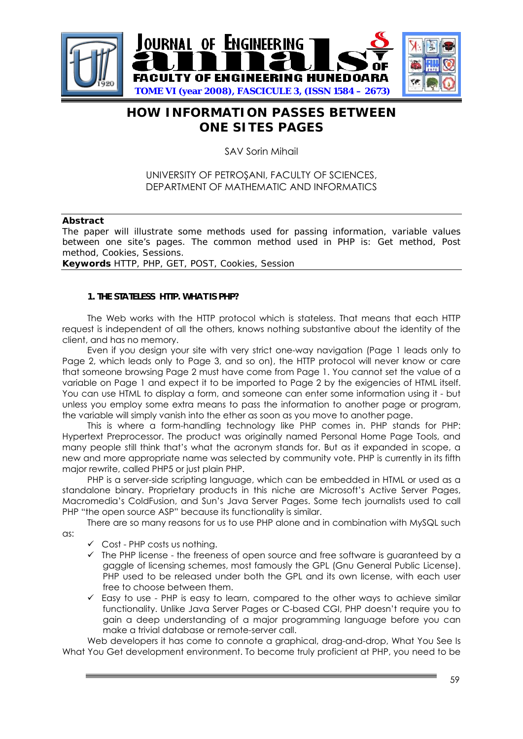

# **HOW INFORMATION PASSES BETWEEN ONE SITES PAGES**

SAV Sorin Mihail

# UNIVERSITY OF PETROŞANI, FACULTY OF SCIENCES, DEPARTMENT OF MATHEMATIC AND INFORMATICS

## **Abstract**

The paper will illustrate some methods used for passing information, variable values between one site's pages. The common method used in PHP is: Get method, Post method, Cookies, Sessions. **Keywords** HTTP, PHP, GET, POST, Cookies, Session

### **1. THE STATELESS HTTP. WHAT IS PHP?**

The Web works with the HTTP protocol which is stateless. That means that each HTTP request is independent of all the others, knows nothing substantive about the identity of the client, and has no memory.

Even if you design your site with very strict one-way navigation (Page 1 leads only to Page 2, which leads only to Page 3, and so on), the HTTP protocol will never know or care that someone browsing Page 2 must have come from Page 1. You cannot set the value of a variable on Page 1 and expect it to be imported to Page 2 by the exigencies of HTML itself. You can use HTML to display a form, and someone can enter some information using it - but unless you employ some extra means to pass the information to another page or program, the variable will simply vanish into the ether as soon as you move to another page.

This is where a form-handling technology like PHP comes in. PHP stands for PHP: Hypertext Preprocessor. The product was originally named Personal Home Page Tools, and many people still think that's what the acronym stands for. But as it expanded in scope, a new and more appropriate name was selected by community vote. PHP is currently in its fifth major rewrite, called PHP5 or just plain PHP.

PHP is a server-side scripting language, which can be embedded in HTML or used as a standalone binary. Proprietary products in this niche are Microsoft's Active Server Pages, Macromedia's ColdFusion, and Sun's Java Server Pages. Some tech journalists used to call PHP "the open source ASP" because its functionality is similar.

There are so many reasons for us to use PHP alone and in combination with MySQL such

as:

- $\checkmark$  Cost PHP costs us nothing.
- $\checkmark$  The PHP license the freeness of open source and free software is guaranteed by a gaggle of licensing schemes, most famously the GPL (Gnu General Public License). PHP used to be released under both the GPL and its own license, with each user free to choose between them.
- $\checkmark$  Easy to use PHP is easy to learn, compared to the other ways to achieve similar functionality. Unlike Java Server Pages or C-based CGI, PHP doesn't require you to gain a deep understanding of a major programming language before you can make a trivial database or remote-server call.

Web developers it has come to connote a graphical, drag-and-drop, What You See Is What You Get development environment. To become truly proficient at PHP, you need to be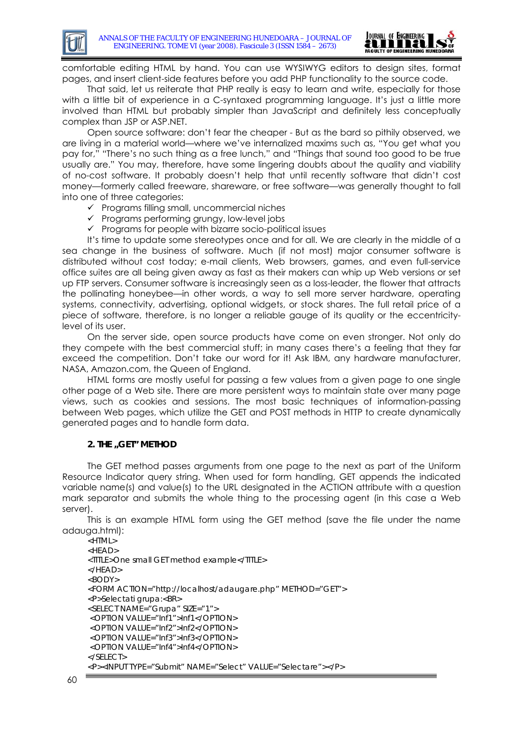

comfortable editing HTML by hand. You can use WYSIWYG editors to design sites, format pages, and insert client-side features before you add PHP functionality to the source code.

That said, let us reiterate that PHP really is easy to learn and write, especially for those with a little bit of experience in a C-syntaxed programming language. It's just a little more involved than HTML but probably simpler than JavaScript and definitely less conceptually complex than JSP or ASP.NET.

Open source software: don't fear the cheaper - But as the bard so pithily observed, we are living in a material world—where we've internalized maxims such as, "You get what you pay for," "There's no such thing as a free lunch," and "Things that sound too good to be true usually are." You may, therefore, have some lingering doubts about the quality and viability of no-cost software. It probably doesn't help that until recently software that didn't cost money—formerly called freeware, shareware, or free software—was generally thought to fall into one of three categories:

- $\checkmark$  Programs filling small, uncommercial niches
- $\checkmark$  Programs performing grungy, low-level jobs
- $\checkmark$  Programs for people with bizarre socio-political issues

It's time to update some stereotypes once and for all. We are clearly in the middle of a sea change in the business of software. Much (if not most) major consumer software is distributed without cost today; e-mail clients, Web browsers, games, and even full-service office suites are all being given away as fast as their makers can whip up Web versions or set up FTP servers. Consumer software is increasingly seen as a loss-leader, the flower that attracts the pollinating honeybee—in other words, a way to sell more server hardware, operating systems, connectivity, advertising, optional widgets, or stock shares. The full retail price of a piece of software, therefore, is no longer a reliable gauge of its quality or the eccentricitylevel of its user.

On the server side, open source products have come on even stronger. Not only do they compete with the best commercial stuff; in many cases there's a feeling that they far exceed the competition. Don't take our word for it! Ask IBM, any hardware manufacturer, NASA, Amazon.com, the Queen of England.

HTML forms are mostly useful for passing a few values from a given page to one single other page of a Web site. There are more persistent ways to maintain state over many page views, such as cookies and sessions. The most basic techniques of information-passing between Web pages, which utilize the GET and POST methods in HTTP to create dynamically generated pages and to handle form data.

#### 2. THE "GET" METHOD

The GET method passes arguments from one page to the next as part of the Uniform Resource Indicator query string. When used for form handling, GET appends the indicated variable name(s) and value(s) to the URL designated in the ACTION attribute with a question mark separator and submits the whole thing to the processing agent (in this case a Web server).

This is an example HTML form using the GET method (save the file under the name adauga.html):

*<HTML> <HEAD> <TITLE>One small GET method example</TITLE> </HEAD> <BODY> <FORM ACTION="http://localhost/adaugare.php" METHOD="GET"> <P>Selectati grupa:<BR> <SELECT NAME="Grupa" SIZE="1"> <OPTION VALUE="Inf1">Inf1</OPTION> <OPTION VALUE="Inf2">Inf2</OPTION> <OPTION VALUE="Inf3">Inf3</OPTION> <OPTION VALUE="Inf4">Inf4</OPTION> </SELECT> <P><INPUT TYPE="Submit" NAME="Select" VALUE="Selectare"></P>*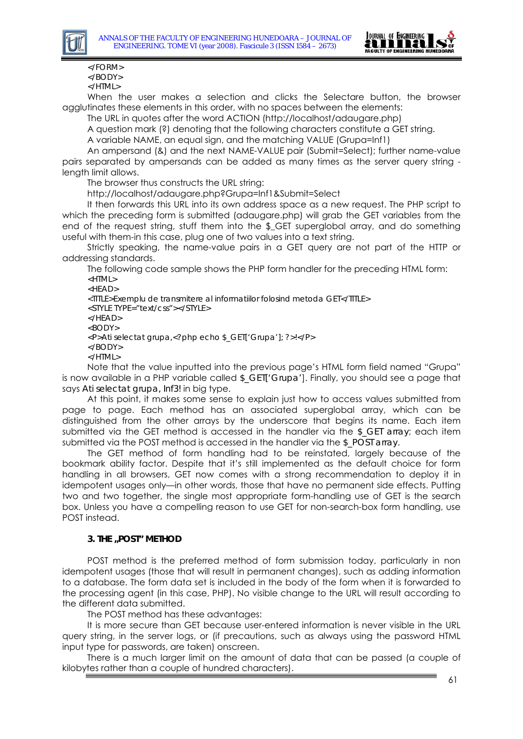



*</FORM> </BODY> </HTML>* 

When the user makes a selection and clicks the Selectare button, the browser agglutinates these elements in this order, with no spaces between the elements:

The URL in quotes after the word ACTION (http://localhost/adaugare.php)

A question mark (?) denoting that the following characters constitute a GET string.

A variable NAME, an equal sign, and the matching VALUE (Grupa=Inf1)

An ampersand (&) and the next NAME-VALUE pair (Submit=Select); further name-value pairs separated by ampersands can be added as many times as the server query string length limit allows.

The browser thus constructs the URL string:

http://localhost/adaugare.php?Grupa=Inf1&Submit=Select

It then forwards this URL into its own address space as a new request. The PHP script to which the preceding form is submitted (adaugare.php) will grab the GET variables from the end of the request string, stuff them into the \$ GET superglobal array, and do something useful with them-in this case, plug one of two values into a text string.

Strictly speaking, the name-value pairs in a GET query are not part of the HTTP or addressing standards.

The following code sample shows the PHP form handler for the preceding HTML form: *<HTML>* 

*<HEAD> <TITLE>Exemplu de transmitere al informatiilor folosind metoda GET</TITLE> <STYLE TYPE="text/css"></STYLE> </HEAD> <BODY> <P>Ati selectat grupa,<?php echo \$\_GET['Grupa']; ?>!</P> </BODY> </HTML>* 

Note that the value inputted into the previous page's HTML form field named "Grupa" is now available in a PHP variable called *\$\_GET['Grupa'*]. Finally, you should see a page that says *Ati selectat grupa, Inf3!* in big type.

At this point, it makes some sense to explain just how to access values submitted from page to page. Each method has an associated superglobal array, which can be distinguished from the other arrays by the underscore that begins its name. Each item submitted via the GET method is accessed in the handler via the *\$\_GET array*; each item submitted via the POST method is accessed in the handler via the *\$\_POST array*.

The GET method of form handling had to be reinstated, largely because of the bookmark ability factor. Despite that it's still implemented as the default choice for form handling in all browsers, GET now comes with a strong recommendation to deploy it in idempotent usages only—in other words, those that have no permanent side effects. Putting two and two together, the single most appropriate form-handling use of GET is the search box. Unless you have a compelling reason to use GET for non-search-box form handling, use POST instead.

#### **3. THE "POST" METHOD**

POST method is the preferred method of form submission today, particularly in non idempotent usages (those that will result in permanent changes), such as adding information to a database. The form data set is included in the body of the form when it is forwarded to the processing agent (in this case, PHP). No visible change to the URL will result according to the different data submitted.

The POST method has these advantages:

It is more secure than GET because user-entered information is never visible in the URL query string, in the server logs, or (if precautions, such as always using the password HTML input type for passwords, are taken) onscreen.

There is a much larger limit on the amount of data that can be passed (a couple of kilobytes rather than a couple of hundred characters).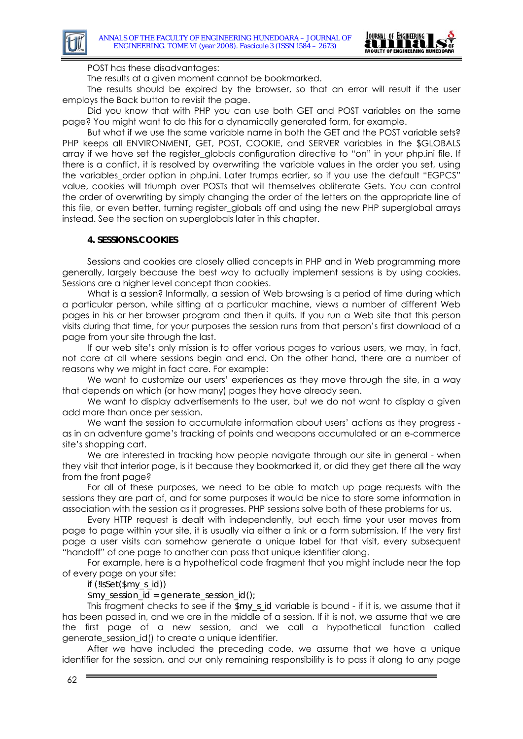

POST has these disadvantages:

The results at a given moment cannot be bookmarked.

The results should be expired by the browser, so that an error will result if the user employs the Back button to revisit the page.

Did you know that with PHP you can use both GET and POST variables on the same page? You might want to do this for a dynamically generated form, for example.

But what if we use the same variable name in both the GET and the POST variable sets? PHP keeps all ENVIRONMENT, GET, POST, COOKIE, and SERVER variables in the \$GLOBALS array if we have set the register\_globals configuration directive to "on" in your php.ini file. If there is a conflict, it is resolved by overwriting the variable values in the order you set, using the variables\_order option in php.ini. Later trumps earlier, so if you use the default "EGPCS" value, cookies will triumph over POSTs that will themselves obliterate Gets. You can control the order of overwriting by simply changing the order of the letters on the appropriate line of this file, or even better, turning register globals off and using the new PHP superglobal arrays instead. See the section on superglobals later in this chapter.

#### **4. SESSIONS.COOKIES**

Sessions and cookies are closely allied concepts in PHP and in Web programming more generally, largely because the best way to actually implement sessions is by using cookies. Sessions are a higher level concept than cookies.

What is a session? Informally, a session of Web browsing is a period of time during which a particular person, while sitting at a particular machine, views a number of different Web pages in his or her browser program and then it quits. If you run a Web site that this person visits during that time, for your purposes the session runs from that person's first download of a page from your site through the last.

If our web site's only mission is to offer various pages to various users, we may, in fact, not care at all where sessions begin and end. On the other hand, there are a number of reasons why we might in fact care. For example:

We want to customize our users' experiences as they move through the site, in a way that depends on which (or how many) pages they have already seen.

We want to display advertisements to the user, but we do not want to display a given add more than once per session.

We want the session to accumulate information about users' actions as they progress as in an adventure game's tracking of points and weapons accumulated or an e-commerce site's shopping cart.

We are interested in tracking how people navigate through our site in general - when they visit that interior page, is it because they bookmarked it, or did they get there all the way from the front page?

For all of these purposes, we need to be able to match up page requests with the sessions they are part of, and for some purposes it would be nice to store some information in association with the session as it progresses. PHP sessions solve both of these problems for us.

Every HTTP request is dealt with independently, but each time your user moves from page to page within your site, it is usually via either a link or a form submission. If the very first page a user visits can somehow generate a unique label for that visit, every subsequent "handoff" of one page to another can pass that unique identifier along.

For example, here is a hypothetical code fragment that you might include near the top of every page on your site:

*if (!IsSet(\$my\_s\_id))* 

*\$my\_session\_id = generate\_session\_id();* 

This fragment checks to see if the *\$my\_s\_id* variable is bound - if it is, we assume that it has been passed in, and we are in the middle of a session. If it is not, we assume that we are the first page of a new session, and we call a hypothetical function called generate\_session\_id() to create a unique identifier.

After we have included the preceding code, we assume that we have a unique identifier for the session, and our only remaining responsibility is to pass it along to any page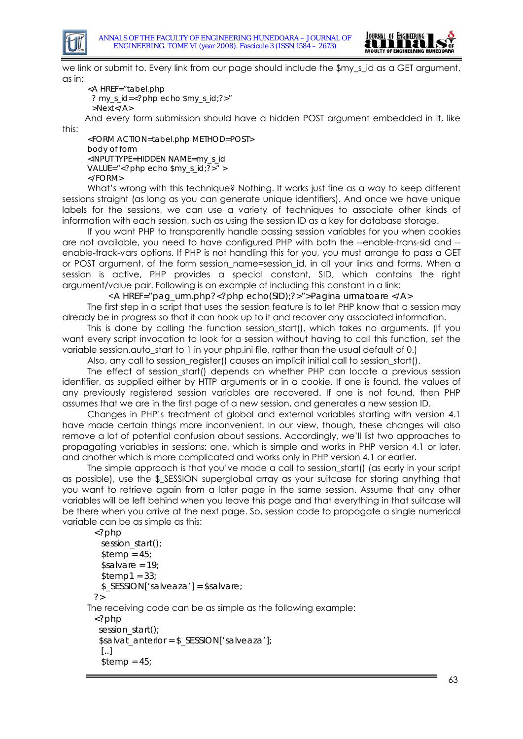



we link or submit to. Every link from our page should include the  $\gamma_{\rm m}$  id as a GET argument, as in:

*<A HREF="tabel.php ? my\_s\_id=<?php echo \$my\_s\_id;?>" >Next</A>* 

And every form submission should have a hidden POST argument embedded in it, like

this:

*<FORM ACTION=tabel.php METHOD=POST> body of form <INPUT TYPE=HIDDEN NAME=my\_s\_id VALUE="<?php echo \$my\_s\_id;?>" > </FORM>* 

What's wrong with this technique? Nothing. It works just fine as a way to keep different sessions straight (as long as you can generate unique identifiers). And once we have unique labels for the sessions, we can use a variety of techniques to associate other kinds of information with each session, such as using the session ID as a key for database storage.

If you want PHP to transparently handle passing session variables for you when cookies are not available, you need to have configured PHP with both the --enable-trans-sid and - enable-track-vars options. If PHP is not handling this for you, you must arrange to pass a GET or POST argument, of the form session\_name=session\_id, in all your links and forms. When a session is active, PHP provides a special constant, SID, which contains the right argument/value pair. Following is an example of including this constant in a link:

<*A HREF="pag\_urm.php?<?php echo(SID);?>">Pagina urmatoare </A>* 

The first step in a script that uses the session feature is to let PHP know that a session may already be in progress so that it can hook up to it and recover any associated information.

This is done by calling the function session\_start(), which takes no arguments. (If you want every script invocation to look for a session without having to call this function, set the variable session.auto start to 1 in your php.ini file, rather than the usual default of 0.)

Also, any call to session register() causes an implicit initial call to session start().

The effect of session start() depends on whether PHP can locate a previous session identifier, as supplied either by HTTP arguments or in a cookie. If one is found, the values of any previously registered session variables are recovered. If one is not found, then PHP assumes that we are in the first page of a new session, and generates a new session ID.

Changes in PHP's treatment of global and external variables starting with version 4.1 have made certain things more inconvenient. In our view, though, these changes will also remove a lot of potential confusion about sessions. Accordingly, we'll list two approaches to propagating variables in sessions: one, which is simple and works in PHP version 4.1 or later, and another which is more complicated and works only in PHP version 4.1 or earlier.

The simple approach is that you've made a call to session\_start() (as early in your script as possible), use the \$\_SESSION superglobal array as your suitcase for storing anything that you want to retrieve again from a later page in the same session. Assume that any other variables will be left behind when you leave this page and that everything in that suitcase will be there when you arrive at the next page. So, session code to propagate a single numerical variable can be as simple as this:

```
<?php 
    session_start(); 
    $temp = 45; 
    $salvare = 19; 
    $temp1 = 33; 
    $_SESSION['salveaza'] = $salvare; 
  ?> 
The receiving code can be as simple as the following example: 
 <?php 
    session_start(); 
    $salvat_anterior = $_SESSION['salveaza']; 
    [..]
```